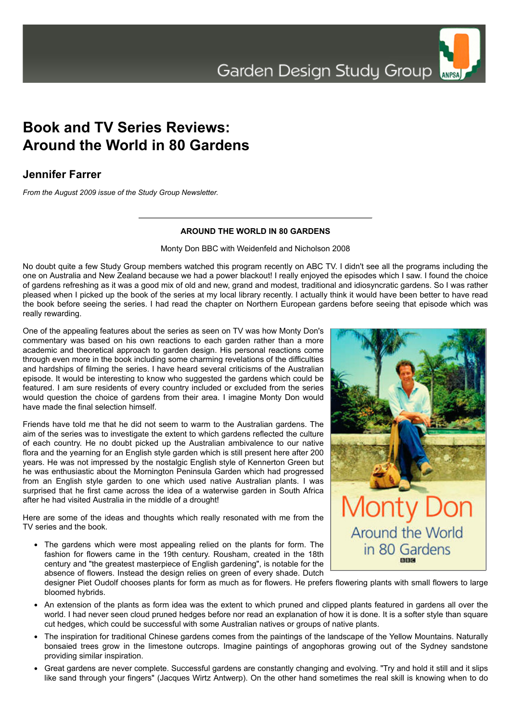## **Book and TV Series Reviews: Around the World in 80 Gardens**

## **Jennifer Farrer**

*From the August 2009 issue of the Study Group Newsletter.*

## **AROUND THE WORLD IN 80 GARDENS**

Monty Don BBC with Weidenfeld and Nicholson 2008

No doubt quite a few Study Group members watched this program recently on ABC TV. I didn't see all the programs including the one on Australia and New Zealand because we had a power blackout! I really enjoyed the episodes which I saw. I found the choice of gardens refreshing as it was a good mix of old and new, grand and modest, traditional and idiosyncratic gardens. So I was rather pleased when I picked up the book of the series at my local library recently. I actually think it would have been better to have read the book before seeing the series. I had read the chapter on Northern European gardens before seeing that episode which was really rewarding.

One of the appealing features about the series as seen on TV was how Monty Don's commentary was based on his own reactions to each garden rather than a more academic and theoretical approach to garden design. His personal reactions come through even more in the book including some charming revelations of the difficulties and hardships of filming the series. I have heard several criticisms of the Australian episode. It would be interesting to know who suggested the gardens which could be featured. I am sure residents of every country included or excluded from the series would question the choice of gardens from their area. I imagine Monty Don would have made the final selection himself.

Friends have told me that he did not seem to warm to the Australian gardens. The aim of the series was to investigate the extent to which gardens reflected the culture of each country. He no doubt picked up the Australian ambivalence to our native flora and the yearning for an English style garden which is still present here after 200 years. He was not impressed by the nostalgic English style of Kennerton Green but he was enthusiastic about the Mornington Peninsula Garden which had progressed from an English style garden to one which used native Australian plants. I was surprised that he first came across the idea of a waterwise garden in South Africa after he had visited Australia in the middle of a drought!

Here are some of the ideas and thoughts which really resonated with me from the TV series and the book.

• The gardens which were most appealing relied on the plants for form. The fashion for flowers came in the 19th century. Rousham, created in the 18th century and "the greatest masterpiece of English gardening", is notable for the absence of flowers. Instead the design relies on green of every shade. Dutch



designer Piet Oudolf chooses plants for form as much as for flowers. He prefers flowering plants with small flowers to large bloomed hybrids.

- An extension of the plants as form idea was the extent to which pruned and clipped plants featured in gardens all over the world. I had never seen cloud pruned hedges before nor read an explanation of how it is done. It is a softer style than square cut hedges, which could be successful with some Australian natives or groups of native plants.
- The inspiration for traditional Chinese gardens comes from the paintings of the landscape of the Yellow Mountains. Naturally bonsaied trees grow in the limestone outcrops. Imagine paintings of angophoras growing out of the Sydney sandstone providing similar inspiration.
- Great gardens are never complete. Successful gardens are constantly changing and evolving. "Try and hold it still and it slips like sand through your fingers" (Jacques Wirtz Antwerp). On the other hand sometimes the real skill is knowing when to do